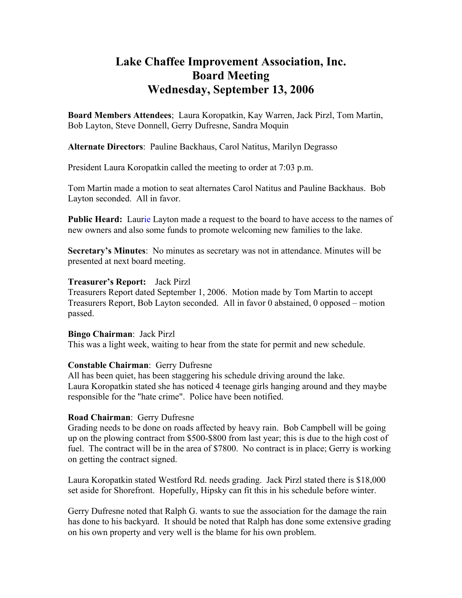# **Lake Chaffee Improvement Association, Inc. Board Meeting Wednesday, September 13, 2006**

**Board Members Attendees**; Laura Koropatkin, Kay Warren, Jack Pirzl, Tom Martin, Bob Layton, Steve Donnell, Gerry Dufresne, Sandra Moquin

**Alternate Directors**: Pauline Backhaus, Carol Natitus, Marilyn Degrasso

President Laura Koropatkin called the meeting to order at 7:03 p.m.

Tom Martin made a motion to seat alternates Carol Natitus and Pauline Backhaus. Bob Layton seconded. All in favor.

**Public Heard:** Laurie Layton made a request to the board to have access to the names of new owners and also some funds to promote welcoming new families to the lake.

**Secretary's Minutes**: No minutes as secretary was not in attendance. Minutes will be presented at next board meeting.

#### **Treasurer's Report:** Jack Pirzl

Treasurers Report dated September 1, 2006. Motion made by Tom Martin to accept Treasurers Report, Bob Layton seconded. All in favor 0 abstained, 0 opposed – motion passed.

## **Bingo Chairman**: Jack Pirzl

This was a light week, waiting to hear from the state for permit and new schedule.

## **Constable Chairman**: Gerry Dufresne

All has been quiet, has been staggering his schedule driving around the lake. Laura Koropatkin stated she has noticed 4 teenage girls hanging around and they maybe responsible for the "hate crime". Police have been notified.

## **Road Chairman**: Gerry Dufresne

Grading needs to be done on roads affected by heavy rain. Bob Campbell will be going up on the plowing contract from \$500-\$800 from last year; this is due to the high cost of fuel. The contract will be in the area of \$7800. No contract is in place; Gerry is working on getting the contract signed.

Laura Koropatkin stated Westford Rd. needs grading. Jack Pirzl stated there is \$18,000 set aside for Shorefront. Hopefully, Hipsky can fit this in his schedule before winter.

Gerry Dufresne noted that Ralph G. wants to sue the association for the damage the rain has done to his backyard. It should be noted that Ralph has done some extensive grading on his own property and very well is the blame for his own problem.